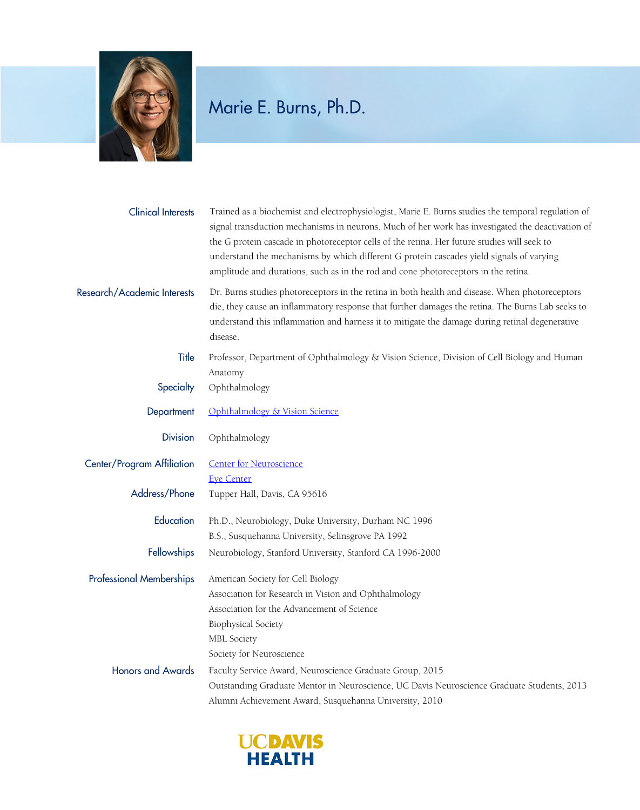

## Marie E. Burns, Ph.D.

| <b>Clinical Interests</b>       | Trained as a biochemist and electrophysiologist, Marie E. Burns studies the temporal regulation of<br>signal transduction mechanisms in neurons. Much of her work has investigated the deactivation of<br>the G protein cascade in photoreceptor cells of the retina. Her future studies will seek to<br>understand the mechanisms by which different G protein cascades yield signals of varying<br>amplitude and durations, such as in the rod and cone photoreceptors in the retina. |
|---------------------------------|-----------------------------------------------------------------------------------------------------------------------------------------------------------------------------------------------------------------------------------------------------------------------------------------------------------------------------------------------------------------------------------------------------------------------------------------------------------------------------------------|
| Research/Academic Interests     | Dr. Burns studies photoreceptors in the retina in both health and disease. When photoreceptors<br>die, they cause an inflammatory response that further damages the retina. The Burns Lab seeks to<br>understand this inflammation and harness it to mitigate the damage during retinal degenerative<br>disease.                                                                                                                                                                        |
| Title                           | Professor, Department of Ophthalmology & Vision Science, Division of Cell Biology and Human<br>Anatomy                                                                                                                                                                                                                                                                                                                                                                                  |
| Specialty                       | Ophthalmology                                                                                                                                                                                                                                                                                                                                                                                                                                                                           |
| Department                      | Ophthalmology & Vision Science                                                                                                                                                                                                                                                                                                                                                                                                                                                          |
| <b>Division</b>                 | Ophthalmology                                                                                                                                                                                                                                                                                                                                                                                                                                                                           |
| Center/Program Affiliation      | <b>Center for Neuroscience</b><br><b>Eye Center</b>                                                                                                                                                                                                                                                                                                                                                                                                                                     |
| Address/Phone                   | Tupper Hall, Davis, CA 95616                                                                                                                                                                                                                                                                                                                                                                                                                                                            |
| Education                       | Ph.D., Neurobiology, Duke University, Durham NC 1996<br>B.S., Susquehanna University, Selinsgrove PA 1992                                                                                                                                                                                                                                                                                                                                                                               |
| Fellowships                     | Neurobiology, Stanford University, Stanford CA 1996-2000                                                                                                                                                                                                                                                                                                                                                                                                                                |
| <b>Professional Memberships</b> | American Society for Cell Biology<br>Association for Research in Vision and Ophthalmology<br>Association for the Advancement of Science<br>Biophysical Society<br><b>MBL</b> Society<br>Society for Neuroscience                                                                                                                                                                                                                                                                        |
| <b>Honors and Awards</b>        | Faculty Service Award, Neuroscience Graduate Group, 2015<br>Outstanding Graduate Mentor in Neuroscience, UC Davis Neuroscience Graduate Students, 2013<br>Alumni Achievement Award, Susquehanna University, 2010                                                                                                                                                                                                                                                                        |

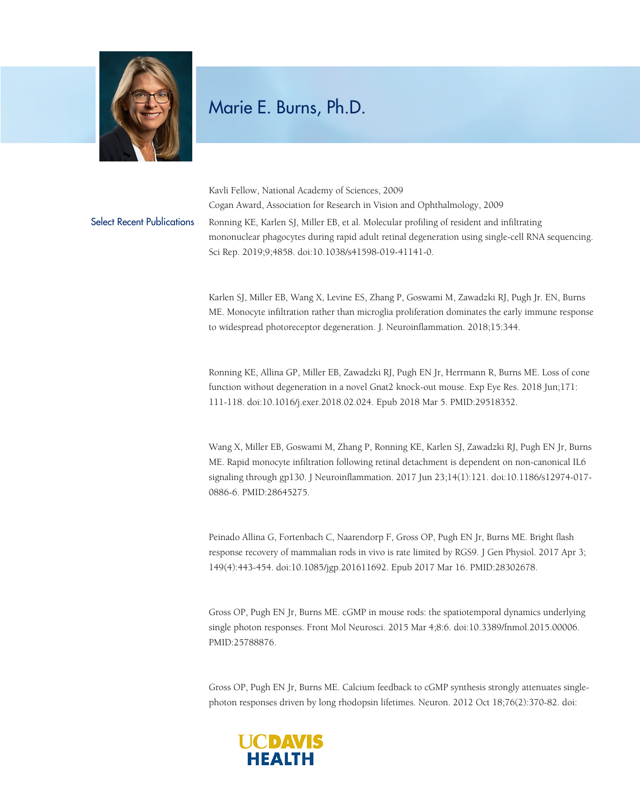

## Marie E. Burns, Ph.D.

Kavli Fellow, National Academy of Sciences, 2009 Cogan Award, Association for Research in Vision and Ophthalmology, 2009 Select Recent Publications Ronning KE, Karlen SJ, Miller EB, et al. Molecular profiling of resident and infiltrating mononuclear phagocytes during rapid adult retinal degeneration using single-cell RNA sequencing. Sci Rep. 2019;9;4858. doi:10.1038/s41598-019-41141-0.

> Karlen SJ, Miller EB, Wang X, Levine ES, Zhang P, Goswami M, Zawadzki RJ, Pugh Jr. EN, Burns ME. Monocyte infiltration rather than microglia proliferation dominates the early immune response to widespread photoreceptor degeneration. J. Neuroinflammation. 2018;15:344.

Ronning KE, Allina GP, Miller EB, Zawadzki RJ, Pugh EN Jr, Herrmann R, Burns ME. Loss of cone function without degeneration in a novel Gnat2 knock-out mouse. Exp Eye Res. 2018 Jun;171: 111-118. doi:10.1016/j.exer.2018.02.024. Epub 2018 Mar 5. PMID:29518352.

Wang X, Miller EB, Goswami M, Zhang P, Ronning KE, Karlen SJ, Zawadzki RJ, Pugh EN Jr, Burns ME. Rapid monocyte infiltration following retinal detachment is dependent on non-canonical IL6 signaling through gp130. J Neuroinflammation. 2017 Jun 23;14(1):121. doi:10.1186/s12974-017- 0886-6. PMID:28645275.

Peinado Allina G, Fortenbach C, Naarendorp F, Gross OP, Pugh EN Jr, Burns ME. Bright flash response recovery of mammalian rods in vivo is rate limited by RGS9. J Gen Physiol. 2017 Apr 3; 149(4):443-454. doi:10.1085/jgp.201611692. Epub 2017 Mar 16. PMID:28302678.

Gross OP, Pugh EN Jr, Burns ME. cGMP in mouse rods: the spatiotemporal dynamics underlying single photon responses. Front Mol Neurosci. 2015 Mar 4;8:6. doi:10.3389/fnmol.2015.00006. PMID:25788876.

Gross OP, Pugh EN Jr, Burns ME. Calcium feedback to cGMP synthesis strongly attenuates singlephoton responses driven by long rhodopsin lifetimes. Neuron. 2012 Oct 18;76(2):370-82. doi: